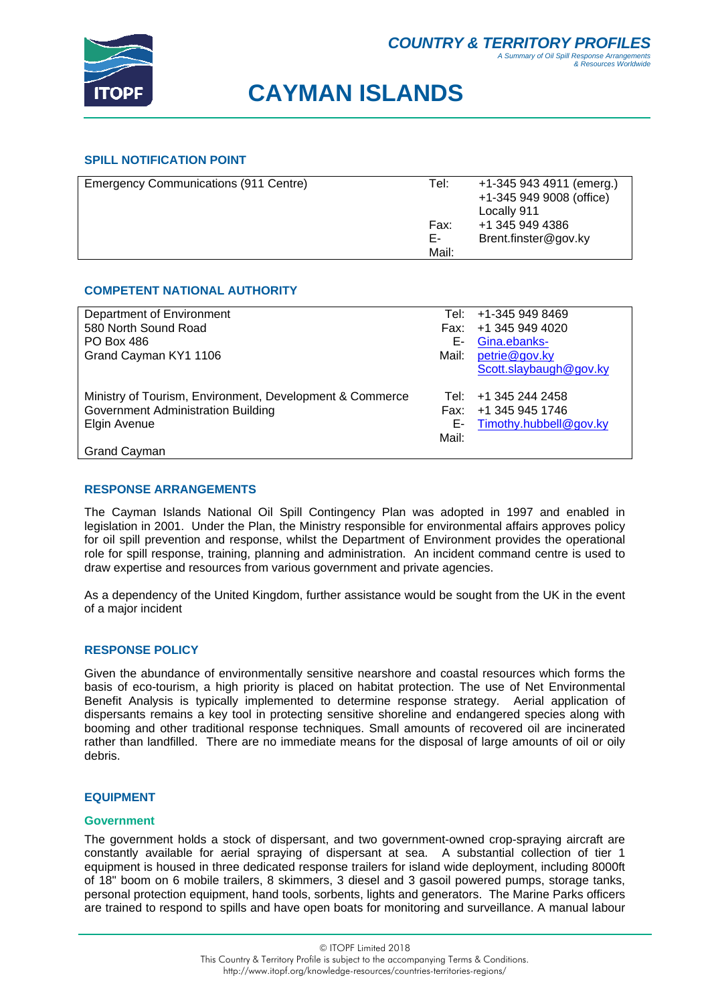

## **CAYMAN ISLANDS**

## **SPILL NOTIFICATION POINT**

| Emergency Communications (911 Centre) | Tel:  | +1-345 943 4911 (emerg.) |
|---------------------------------------|-------|--------------------------|
|                                       |       | +1-345 949 9008 (office) |
|                                       |       | Locally 911              |
|                                       | Fax:  | +1 345 949 4386          |
|                                       | Е-    | Brent.finster@gov.ky     |
|                                       | Mail: |                          |
|                                       |       |                          |

## **COMPETENT NATIONAL AUTHORITY**

| Department of Environment                                | Tel: I | +1-345 949 8469           |
|----------------------------------------------------------|--------|---------------------------|
| 580 North Sound Road                                     |        | Fax: +1 345 949 4020      |
| <b>PO Box 486</b>                                        | Е-     | Gina.ebanks-              |
| Grand Cayman KY1 1106                                    | Mail:  | petrie@gov.ky             |
|                                                          |        | Scott.slaybaugh@gov.ky    |
|                                                          |        |                           |
| Ministry of Tourism, Environment, Development & Commerce |        | Tel: +1 345 244 2458      |
| Government Administration Building                       |        | Fax: +1 345 945 1746      |
| Elgin Avenue                                             |        | E- Timothy.hubbell@gov.ky |
|                                                          | Mail:  |                           |
| Grand Cayman                                             |        |                           |

## **RESPONSE ARRANGEMENTS**

The Cayman Islands National Oil Spill Contingency Plan was adopted in 1997 and enabled in legislation in 2001. Under the Plan, the Ministry responsible for environmental affairs approves policy for oil spill prevention and response, whilst the Department of Environment provides the operational role for spill response, training, planning and administration. An incident command centre is used to draw expertise and resources from various government and private agencies.

As a dependency of the United Kingdom, further assistance would be sought from the UK in the event of a major incident

## **RESPONSE POLICY**

Given the abundance of environmentally sensitive nearshore and coastal resources which forms the basis of eco-tourism, a high priority is placed on habitat protection. The use of Net Environmental Benefit Analysis is typically implemented to determine response strategy. Aerial application of dispersants remains a key tool in protecting sensitive shoreline and endangered species along with booming and other traditional response techniques. Small amounts of recovered oil are incinerated rather than landfilled. There are no immediate means for the disposal of large amounts of oil or oily debris.

### **EQUIPMENT**

### **Government**

The government holds a stock of dispersant, and two government-owned crop-spraying aircraft are constantly available for aerial spraying of dispersant at sea. A substantial collection of tier 1 equipment is housed in three dedicated response trailers for island wide deployment, including 8000ft of 18" boom on 6 mobile trailers, 8 skimmers, 3 diesel and 3 gasoil powered pumps, storage tanks, personal protection equipment, hand tools, sorbents, lights and generators. The Marine Parks officers are trained to respond to spills and have open boats for monitoring and surveillance. A manual labour